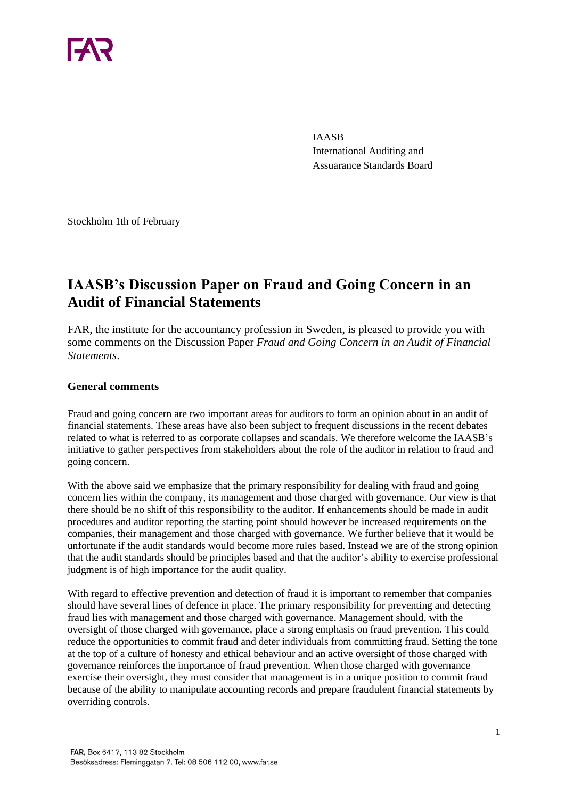

IAASB International Auditing and Assuarance Standards Board

Stockholm 1th of February

## **IAASB's Discussion Paper on Fraud and Going Concern in an Audit of Financial Statements**

FAR, the institute for the accountancy profession in Sweden, is pleased to provide you with some comments on the Discussion Paper *Fraud and Going Concern in an Audit of Financial Statements*.

## **General comments**

Fraud and going concern are two important areas for auditors to form an opinion about in an audit of financial statements. These areas have also been subject to frequent discussions in the recent debates related to what is referred to as corporate collapses and scandals. We therefore welcome the IAASB's initiative to gather perspectives from stakeholders about the role of the auditor in relation to fraud and going concern.

With the above said we emphasize that the primary responsibility for dealing with fraud and going concern lies within the company, its management and those charged with governance. Our view is that there should be no shift of this responsibility to the auditor. If enhancements should be made in audit procedures and auditor reporting the starting point should however be increased requirements on the companies, their management and those charged with governance. We further believe that it would be unfortunate if the audit standards would become more rules based. Instead we are of the strong opinion that the audit standards should be principles based and that the auditor's ability to exercise professional judgment is of high importance for the audit quality.

With regard to effective prevention and detection of fraud it is important to remember that companies should have several lines of defence in place. The primary responsibility for preventing and detecting fraud lies with management and those charged with governance. Management should, with the oversight of those charged with governance, place a strong emphasis on fraud prevention. This could reduce the opportunities to commit fraud and deter individuals from committing fraud. Setting the tone at the top of a culture of honesty and ethical behaviour and an active oversight of those charged with governance reinforces the importance of fraud prevention. When those charged with governance exercise their oversight, they must consider that management is in a unique position to commit fraud because of the ability to manipulate accounting records and prepare fraudulent financial statements by overriding controls.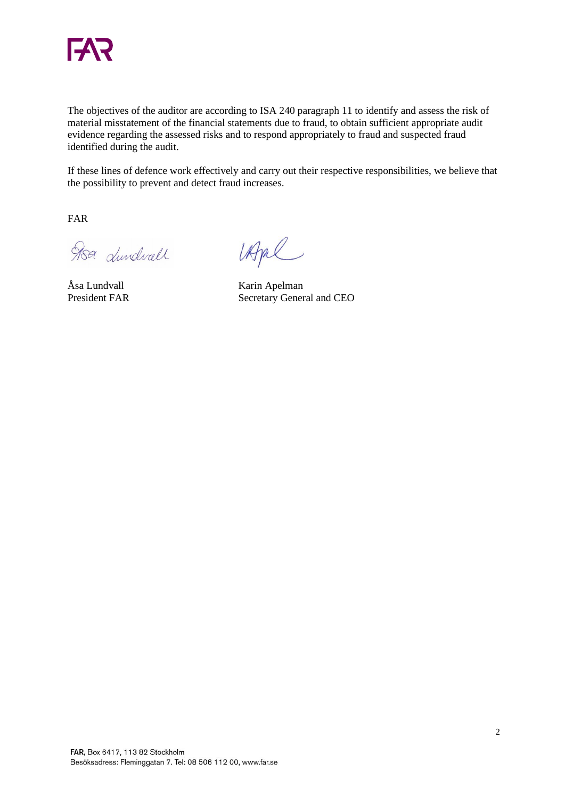

The objectives of the auditor are according to ISA 240 paragraph 11 to identify and assess the risk of material misstatement of the financial statements due to fraud, to obtain sufficient appropriate audit evidence regarding the assessed risks and to respond appropriately to fraud and suspected fraud identified during the audit.

If these lines of defence work effectively and carry out their respective responsibilities, we believe that the possibility to prevent and detect fraud increases.

FAR

Psa dundvæll

UApel

Åsa Lundvall Karin Apelman<br>President FAR Secretary Gener Secretary General and CEO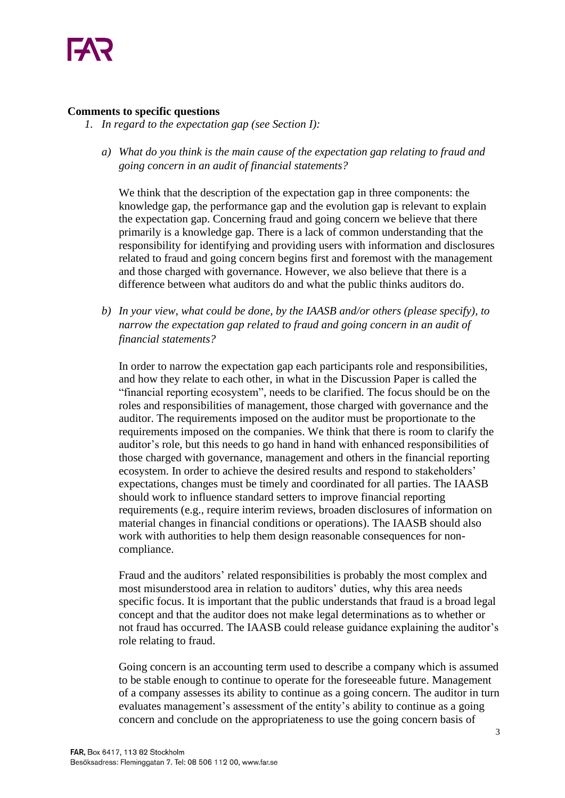

## **Comments to specific questions**

- *1. In regard to the expectation gap (see Section I):*
	- *a) What do you think is the main cause of the expectation gap relating to fraud and going concern in an audit of financial statements?*

We think that the description of the expectation gap in three components: the knowledge gap, the performance gap and the evolution gap is relevant to explain the expectation gap. Concerning fraud and going concern we believe that there primarily is a knowledge gap. There is a lack of common understanding that the responsibility for identifying and providing users with information and disclosures related to fraud and going concern begins first and foremost with the management and those charged with governance. However, we also believe that there is a difference between what auditors do and what the public thinks auditors do.

*b) In your view, what could be done, by the IAASB and/or others (please specify), to narrow the expectation gap related to fraud and going concern in an audit of financial statements?*

In order to narrow the expectation gap each participants role and responsibilities, and how they relate to each other, in what in the Discussion Paper is called the "financial reporting ecosystem", needs to be clarified. The focus should be on the roles and responsibilities of management, those charged with governance and the auditor. The requirements imposed on the auditor must be proportionate to the requirements imposed on the companies. We think that there is room to clarify the auditor's role, but this needs to go hand in hand with enhanced responsibilities of those charged with governance, management and others in the financial reporting ecosystem. In order to achieve the desired results and respond to stakeholders' expectations, changes must be timely and coordinated for all parties. The IAASB should work to influence standard setters to improve financial reporting requirements (e.g., require interim reviews, broaden disclosures of information on material changes in financial conditions or operations). The IAASB should also work with authorities to help them design reasonable consequences for noncompliance.

Fraud and the auditors' related responsibilities is probably the most complex and most misunderstood area in relation to auditors' duties, why this area needs specific focus. It is important that the public understands that fraud is a broad legal concept and that the auditor does not make legal determinations as to whether or not fraud has occurred. The IAASB could release guidance explaining the auditor's role relating to fraud.

Going concern is an accounting term used to describe a company which is assumed to be stable enough to continue to operate for the foreseeable future. Management of a company assesses its ability to continue as a going concern. The auditor in turn evaluates management's assessment of the entity's ability to continue as a going concern and conclude on the appropriateness to use the going concern basis of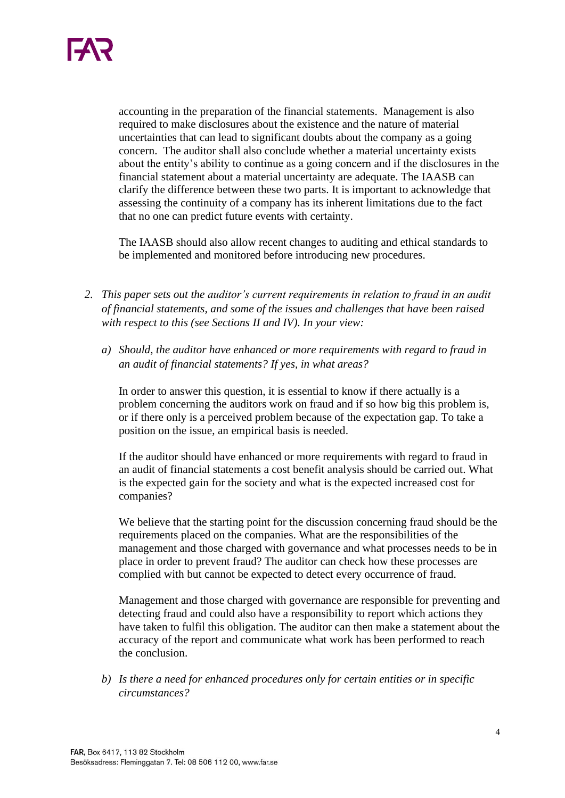

accounting in the preparation of the financial statements. Management is also required to make disclosures about the existence and the nature of material uncertainties that can lead to significant doubts about the company as a going concern. The auditor shall also conclude whether a material uncertainty exists about the entity's ability to continue as a going concern and if the disclosures in the financial statement about a material uncertainty are adequate. The IAASB can clarify the difference between these two parts. It is important to acknowledge that assessing the continuity of a company has its inherent limitations due to the fact that no one can predict future events with certainty.

The IAASB should also allow recent changes to auditing and ethical standards to be implemented and monitored before introducing new procedures.

- *2. This paper sets out the auditor's current requirements in relation to fraud in an audit of financial statements, and some of the issues and challenges that have been raised with respect to this (see Sections II and IV). In your view:*
	- *a) Should, the auditor have enhanced or more requirements with regard to fraud in an audit of financial statements? If yes, in what areas?*

In order to answer this question, it is essential to know if there actually is a problem concerning the auditors work on fraud and if so how big this problem is, or if there only is a perceived problem because of the expectation gap. To take a position on the issue, an empirical basis is needed.

If the auditor should have enhanced or more requirements with regard to fraud in an audit of financial statements a cost benefit analysis should be carried out. What is the expected gain for the society and what is the expected increased cost for companies?

We believe that the starting point for the discussion concerning fraud should be the requirements placed on the companies. What are the responsibilities of the management and those charged with governance and what processes needs to be in place in order to prevent fraud? The auditor can check how these processes are complied with but cannot be expected to detect every occurrence of fraud.

Management and those charged with governance are responsible for preventing and detecting fraud and could also have a responsibility to report which actions they have taken to fulfil this obligation. The auditor can then make a statement about the accuracy of the report and communicate what work has been performed to reach the conclusion.

*b) Is there a need for enhanced procedures only for certain entities or in specific circumstances?*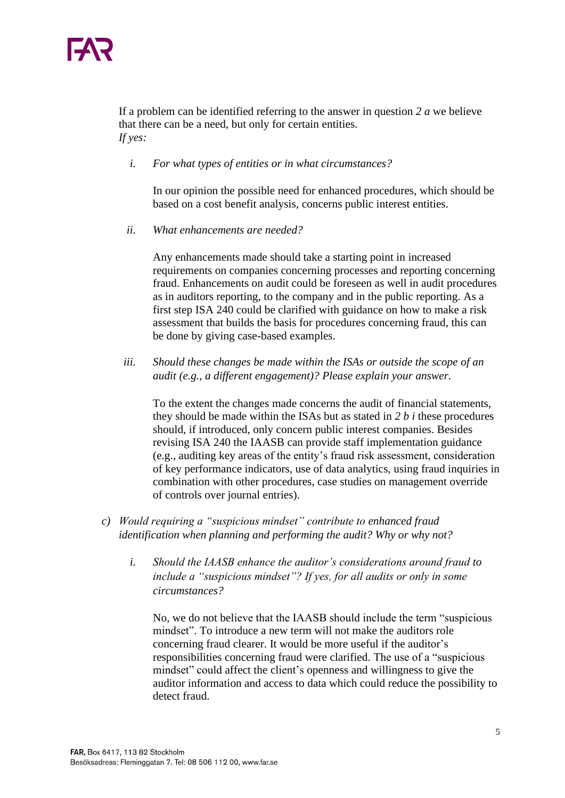If a problem can be identified referring to the answer in question *2 a* we believe that there can be a need, but only for certain entities. *If yes:*

*i. For what types of entities or in what circumstances?*

In our opinion the possible need for enhanced procedures, which should be based on a cost benefit analysis, concerns public interest entities.

*ii. What enhancements are needed?*

Any enhancements made should take a starting point in increased requirements on companies concerning processes and reporting concerning fraud. Enhancements on audit could be foreseen as well in audit procedures as in auditors reporting, to the company and in the public reporting. As a first step ISA 240 could be clarified with guidance on how to make a risk assessment that builds the basis for procedures concerning fraud, this can be done by giving case-based examples.

*iii. Should these changes be made within the ISAs or outside the scope of an audit (e.g., a different engagement)? Please explain your answer.*

To the extent the changes made concerns the audit of financial statements, they should be made within the ISAs but as stated in *2 b i* these procedures should, if introduced, only concern public interest companies. Besides revising ISA 240 the IAASB can provide staff implementation guidance (e.g., auditing key areas of the entity's fraud risk assessment, consideration of key performance indicators, use of data analytics, using fraud inquiries in combination with other procedures, case studies on management override of controls over journal entries).

- *c) Would requiring a "suspicious mindset" contribute to enhanced fraud identification when planning and performing the audit? Why or why not?*
	- *i. Should the IAASB enhance the auditor's considerations around fraud to include a "suspicious mindset"? If yes, for all audits or only in some circumstances?*

No, we do not believe that the IAASB should include the term "suspicious mindset". To introduce a new term will not make the auditors role concerning fraud clearer. It would be more useful if the auditor's responsibilities concerning fraud were clarified. The use of a "suspicious mindset" could affect the client's openness and willingness to give the auditor information and access to data which could reduce the possibility to detect fraud.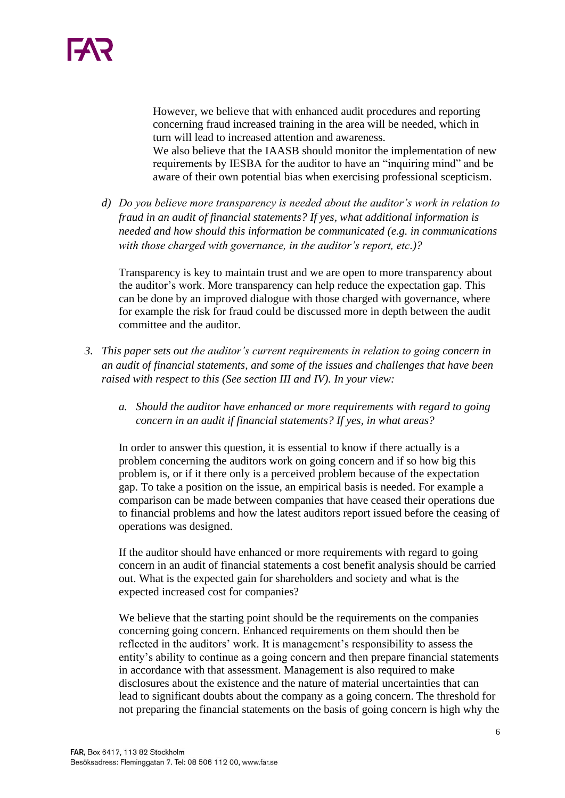However, we believe that with enhanced audit procedures and reporting concerning fraud increased training in the area will be needed, which in turn will lead to increased attention and awareness. We also believe that the IAASB should monitor the implementation of new requirements by IESBA for the auditor to have an "inquiring mind" and be aware of their own potential bias when exercising professional scepticism.

*d) Do you believe more transparency is needed about the auditor's work in relation to fraud in an audit of financial statements? If yes, what additional information is needed and how should this information be communicated (e.g. in communications with those charged with governance, in the auditor's report, etc.)?*

Transparency is key to maintain trust and we are open to more transparency about the auditor's work. More transparency can help reduce the expectation gap. This can be done by an improved dialogue with those charged with governance, where for example the risk for fraud could be discussed more in depth between the audit committee and the auditor.

- *3. This paper sets out the auditor's current requirements in relation to going concern in an audit of financial statements, and some of the issues and challenges that have been raised with respect to this (See section III and IV). In your view:*
	- *a. Should the auditor have enhanced or more requirements with regard to going concern in an audit if financial statements? If yes, in what areas?*

In order to answer this question, it is essential to know if there actually is a problem concerning the auditors work on going concern and if so how big this problem is, or if it there only is a perceived problem because of the expectation gap. To take a position on the issue, an empirical basis is needed. For example a comparison can be made between companies that have ceased their operations due to financial problems and how the latest auditors report issued before the ceasing of operations was designed.

If the auditor should have enhanced or more requirements with regard to going concern in an audit of financial statements a cost benefit analysis should be carried out. What is the expected gain for shareholders and society and what is the expected increased cost for companies?

We believe that the starting point should be the requirements on the companies concerning going concern. Enhanced requirements on them should then be reflected in the auditors' work. It is management's responsibility to assess the entity's ability to continue as a going concern and then prepare financial statements in accordance with that assessment. Management is also required to make disclosures about the existence and the nature of material uncertainties that can lead to significant doubts about the company as a going concern. The threshold for not preparing the financial statements on the basis of going concern is high why the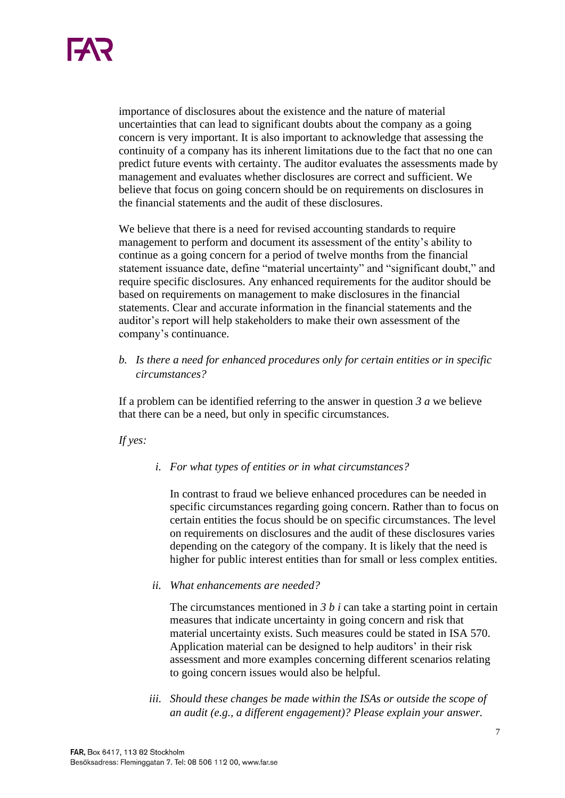

importance of disclosures about the existence and the nature of material uncertainties that can lead to significant doubts about the company as a going concern is very important. It is also important to acknowledge that assessing the continuity of a company has its inherent limitations due to the fact that no one can predict future events with certainty. The auditor evaluates the assessments made by management and evaluates whether disclosures are correct and sufficient. We believe that focus on going concern should be on requirements on disclosures in the financial statements and the audit of these disclosures.

We believe that there is a need for revised accounting standards to require management to perform and document its assessment of the entity's ability to continue as a going concern for a period of twelve months from the financial statement issuance date, define "material uncertainty" and "significant doubt," and require specific disclosures. Any enhanced requirements for the auditor should be based on requirements on management to make disclosures in the financial statements. Clear and accurate information in the financial statements and the auditor's report will help stakeholders to make their own assessment of the company's continuance.

*b. Is there a need for enhanced procedures only for certain entities or in specific circumstances?*

If a problem can be identified referring to the answer in question *3 a* we believe that there can be a need, but only in specific circumstances.

*If yes:*

*i. For what types of entities or in what circumstances?*

In contrast to fraud we believe enhanced procedures can be needed in specific circumstances regarding going concern. Rather than to focus on certain entities the focus should be on specific circumstances. The level on requirements on disclosures and the audit of these disclosures varies depending on the category of the company. It is likely that the need is higher for public interest entities than for small or less complex entities.

*ii. What enhancements are needed?*

The circumstances mentioned in 3 b i can take a starting point in certain measures that indicate uncertainty in going concern and risk that material uncertainty exists. Such measures could be stated in ISA 570. Application material can be designed to help auditors' in their risk assessment and more examples concerning different scenarios relating to going concern issues would also be helpful.

*iii. Should these changes be made within the ISAs or outside the scope of an audit (e.g., a different engagement)? Please explain your answer.*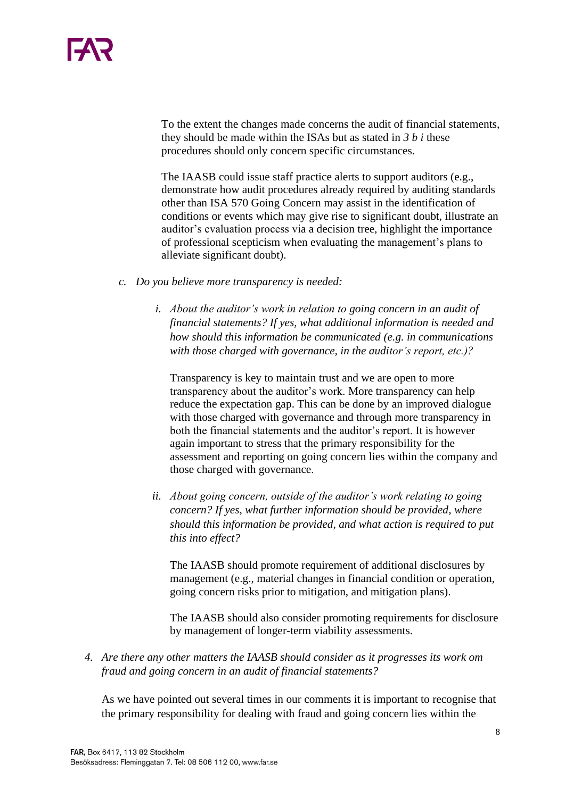

To the extent the changes made concerns the audit of financial statements, they should be made within the ISAs but as stated in *3 b i* these procedures should only concern specific circumstances.

The IAASB could issue staff practice alerts to support auditors (e.g., demonstrate how audit procedures already required by auditing standards other than ISA 570 Going Concern may assist in the identification of conditions or events which may give rise to significant doubt, illustrate an auditor's evaluation process via a decision tree, highlight the importance of professional scepticism when evaluating the management's plans to alleviate significant doubt).

- *c. Do you believe more transparency is needed:*
	- *i. About the auditor's work in relation to going concern in an audit of financial statements? If yes, what additional information is needed and how should this information be communicated (e.g. in communications with those charged with governance, in the auditor's report, etc.)?*

Transparency is key to maintain trust and we are open to more transparency about the auditor's work. More transparency can help reduce the expectation gap. This can be done by an improved dialogue with those charged with governance and through more transparency in both the financial statements and the auditor's report. It is however again important to stress that the primary responsibility for the assessment and reporting on going concern lies within the company and those charged with governance.

*ii. About going concern, outside of the auditor's work relating to going concern? If yes, what further information should be provided, where should this information be provided, and what action is required to put this into effect?*

The IAASB should promote requirement of additional disclosures by management (e.g., material changes in financial condition or operation, going concern risks prior to mitigation, and mitigation plans).

The IAASB should also consider promoting requirements for disclosure by management of longer-term viability assessments.

*4. Are there any other matters the IAASB should consider as it progresses its work om fraud and going concern in an audit of financial statements?*

As we have pointed out several times in our comments it is important to recognise that the primary responsibility for dealing with fraud and going concern lies within the